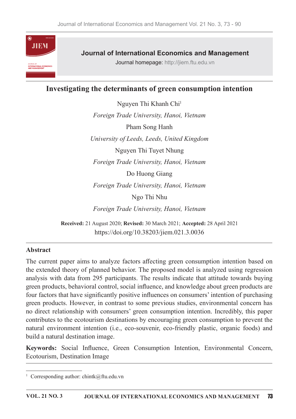

# **Journal of International Economics and Management**

Journal homepage: http://jiem.ftu.edu.vn

# Investigating the determinants of green consumption intention

Nguyen Thi Khanh Chi<sup>1</sup> Foreign Trade University, Hanoi, Vietnam Pham Song Hanh University of Leeds, Leeds, United Kingdom Nguyen Thi Tuyet Nhung Foreign Trade University, Hanoi, Vietnam Do Huong Giang Foreign Trade University, Hanoi, Vietnam Ngo Thi Nhu Foreign Trade University, Hanoi, Vietnam Received: 21 August 2020; Revised: 30 March 2021; Accepted: 28 April 2021 https://doi.org/10.38203/jiem.021.3.0036

### **Abstract**

The current paper aims to analyze factors affecting green consumption intention based on the extended theory of planned behavior. The proposed model is analyzed using regression analysis with data from 295 participants. The results indicate that attitude towards buying green products, behavioral control, social influence, and knowledge about green products are four factors that have significantly positive influences on consumers' intention of purchasing green products. However, in contrast to some previous studies, environmental concern has no direct relationship with consumers' green consumption intention. Incredibly, this paper contributes to the ecotourism destinations by encouraging green consumption to prevent the natural environment intention (i.e., eco-souvenir, eco-friendly plastic, organic foods) and build a natural destination image.

Keywords: Social Influence, Green Consumption Intention, Environmental Concern, Ecotourism, Destination Image

<sup>&</sup>lt;sup>1</sup> Corresponding author: chintk@ftu.edu.vn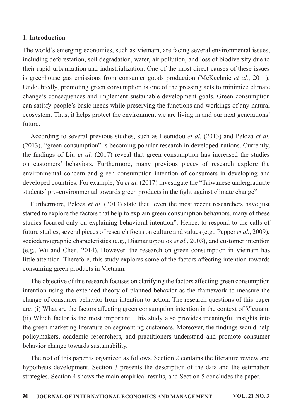### 1. Introduction

The world's emerging economies, such as Vietnam, are facing several environmental issues, including deforestation, soil degradation, water, air pollution, and loss of biodiversity due to their rapid urbanization and industrialization. One of the most direct causes of these issues is greenhouse gas emissions from consumer goods production (McKechnie et al., 2011). Undoubtedly, promoting green consumption is one of the pressing acts to minimize climate change's consequences and implement sustainable development goals. Green consumption can satisfy people's basic needs while preserving the functions and workings of any natural ecosystem. Thus, it helps protect the environment we are living in and our next generations' future.

According to several previous studies, such as Leonidou et al. (2013) and Peloza et al. (2013), "green consumption" is becoming popular research in developed nations. Currently, the findings of Liu *et al.* (2017) reveal that green consumption has increased the studies on customers' behaviors. Furthermore, many previous pieces of research explore the environmental concern and green consumption intention of consumers in developing and developed countries. For example, Yu et al. (2017) investigate the "Taiwanese undergraduate students' pro-environmental towards green products in the fight against climate change".

Furthermore, Peloza et al. (2013) state that "even the most recent researchers have just started to explore the factors that help to explain green consumption behaviors, many of these studies focused only on explaining behavioral intention". Hence, to respond to the calls of future studies, several pieces of research focus on culture and values (e.g., Pepper et al., 2009), sociodemographic characteristics (e.g., Diamantopoulos *et al.*, 2003), and customer intention (e.g., Wu and Chen, 2014). However, the research on green consumption in Vietnam has little attention. Therefore, this study explores some of the factors affecting intention towards consuming green products in Vietnam.

The objective of this research focuses on clarifying the factors affecting green consumption intention using the extended theory of planned behavior as the framework to measure the change of consumer behavior from intention to action. The research questions of this paper are: (i) What are the factors affecting green consumption intention in the context of Vietnam, (ii) Which factor is the most important. This study also provides meaningful insights into the green marketing literature on segmenting customers. Moreover, the findings would help policymakers, academic researchers, and practitioners understand and promote consumer behavior change towards sustainability.

The rest of this paper is organized as follows. Section 2 contains the literature review and hypothesis development. Section 3 presents the description of the data and the estimation strategies. Section 4 shows the main empirical results, and Section 5 concludes the paper.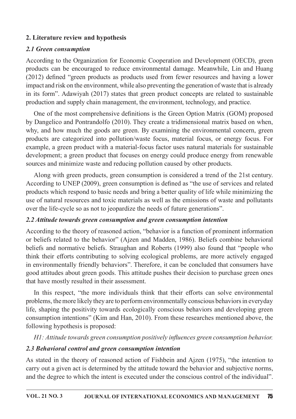## 2. Literature review and hypothesis

# 2.1 Green consumption

According to the Organization for Economic Cooperation and Development (OECD), green products can be encouraged to reduce environmental damage. Meanwhile, Lin and Huang  $(2012)$  defined "green products as products used from fewer resources and having a lower impact and risk on the environment, while also preventing the generation of waste that is already in its form". Adawiyah  $(2017)$  states that green product concepts are related to sustainable production and supply chain management, the environment, technology, and practice.

One of the most comprehensive definitions is the Green Option Matrix (GOM) proposed by Dangelico and Pontrandolfo (2010). They create a tridimensional matrix based on when, why, and how much the goods are green. By examining the environmental concern, green products are categorized into pollution/waste focus, material focus, or energy focus. For example, a green product with a material-focus factor uses natural materials for sustainable development; a green product that focuses on energy could produce energy from renewable sources and minimize waste and reducing pollution caused by other products.

Along with green products, green consumption is considered a trend of the 21st century. According to UNEP (2009), green consumption is defined as "the use of services and related products which respond to basic needs and bring a better quality of life while minimizing the use of natural resources and toxic materials as well as the emissions of waste and pollutants over the life-cycle so as not to jeopardize the needs of future generations".

# 2.2 Attitude towards green consumption and green consumption intention

According to the theory of reasoned action, "behavior is a function of prominent information or beliefs related to the behavior" (Ajzen and Madden, 1986). Beliefs combine behavioral beliefs and normative beliefs. Straughan and Roberts (1999) also found that "people who think their efforts contributing to solving ecological problems, are more actively engaged in environmentally friendly behaviors". Therefore, it can be concluded that consumers have good attitudes about green goods. This attitude pushes their decision to purchase green ones that have mostly resulted in their assessment.

In this respect, "the more individuals think that their efforts can solve environmental problems, the more likely they are to perform environmentally conscious behaviors in everyday life, shaping the positivity towards ecologically conscious behaviors and developing green consumption intentions" (Kim and Han, 2010). From these researches mentioned above, the following hypothesis is proposed:

H1: Attitude towards green consumption positively influences green consumption behavior.

# 2.3 Behavioral control and green consumption intention

As stated in the theory of reasoned action of Fishbein and Ajzen (1975), "the intention to carry out a given act is determined by the attitude toward the behavior and subjective norms, and the degree to which the intent is executed under the conscious control of the individual".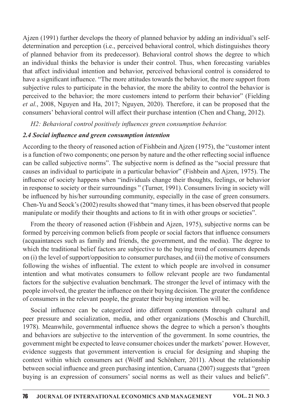Ajzen (1991) further develops the theory of planned behavior by adding an individual's selfdetermination and perception (i.e., perceived behavioral control, which distinguishes theory of planned behavior from its predecessor). Behavioral control shows the degree to which an individual thinks the behavior is under their control. Thus, when forecasting variables that affect individual intention and behavior, perceived behavioral control is considered to have a significant influence. "The more attitudes towards the behavior, the more support from subjective rules to participate in the behavior, the more the ability to control the behavior is perceived to the behavior; the more customers intend to perform their behavior" (Fielding et al., 2008, Nguyen and Ha, 2017; Nguyen, 2020). Therefore, it can be proposed that the consumers' behavioral control will affect their purchase intention (Chen and Chang, 2012).

H2: Behavioral control positively influences green consumption behavior.

## 2.4 Social influence and green consumption intention

According to the theory of reasoned action of Fishbein and Ajzen (1975), the "customer intent is a function of two components; one person by nature and the other reflecting social influence can be called subjective norms". The subjective norm is defined as the "social pressure that causes an individual to participate in a particular behavior" (Fishbein and Ajzen, 1975). The influence of society happens when "individuals change their thoughts, feelings, or behavior in response to society or their surroundings " (Turner, 1991). Consumers living in society will be influenced by his/her surrounding community, especially in the case of green consumers. Chen-Yu and Seock's (2002) results showed that "many times, it has been observed that people manipulate or modify their thoughts and actions to fit in with other groups or societies".

From the theory of reasoned action (Fishbein and Ajzen, 1975), subjective norms can be formed by perceiving common beliefs from people or social factors that influence consumers (acquaintances such as family and friends, the government, and the media). The degree to which the traditional belief factors are subjective to the buying trend of consumers depends on (i) the level of support/opposition to consumer purchases, and (ii) the motive of consumers following the wishes of influential. The extent to which people are involved in consumer intention and what motivates consumers to follow relevant people are two fundamental factors for the subjective evaluation benchmark. The stronger the level of intimacy with the people involved, the greater the influence on their buying decision. The greater the confidence of consumers in the relevant people, the greater their buying intention will be.

Social influence can be categorized into different components through cultural and peer pressure and socialization, media, and other organizations (Moschis and Churchill, 1978). Meanwhile, governmental influence shows the degree to which a person's thoughts and behaviors are subjective to the intervention of the government. In some countries, the government might be expected to leave consumer choices under the markets' power. However, evidence suggests that government intervention is crucial for designing and shaping the context within which consumers act (Wolff and Schönherr, 2011). About the relationship between social influence and green purchasing intention, Caruana (2007) suggests that "green buying is an expression of consumers' social norms as well as their values and beliefs".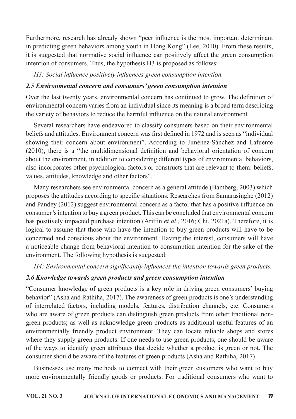Furthermore, research has already shown "peer influence is the most important determinant in predicting green behaviors among youth in Hong Kong" (Lee, 2010). From these results, it is suggested that normative social influence can positively affect the green consumption intention of consumers. Thus, the hypothesis H3 is proposed as follows:

H3: Social influence positively influences green consumption intention.

# 2.5 Environmental concern and consumers' green consumption intention

Over the last twenty years, environmental concern has continued to grow. The definition of environmental concern varies from an individual since its meaning is a broad term describing the variety of behaviors to reduce the harmful influence on the natural environment.

Several researchers have endeavored to classify consumers based on their environmental beliefs and attitudes. Environment concern was first defined in 1972 and is seen as "individual showing their concern about environment". According to Jiménez-Sánchez and Lafuente (2010), there is a "the multidimensional definition and behavioral orientation of concern about the environment, in addition to considering different types of environmental behaviors, also incorporates other psychological factors or constructs that are relevant to them: beliefs, values, attitudes, knowledge and other factors".

Many researchers see environmental concern as a general attitude (Bamberg, 2003) which proposes the attitudes according to specific situations. Researches from Samarasinghe (2012) and Pandey (2012) suggest environmental concern as a factor that has a positive influence on consumer's intention to buy a green product. This can be concluded that environmental concern has positively impacted purchase intention (Ariffin *et al.*, 2016; Chi, 2021a). Therefore, it is logical to assume that those who have the intention to buy green products will have to be concerned and conscious about the environment. Having the interest, consumers will have a noticeable change from behavioral intention to consumption intention for the sake of the environment. The following hypothesis is suggested:

H4: Environmental concern significantly influences the intention towards green products.

# 2.6 Knowledge towards green products and green consumption intention

"Consumer knowledge of green products is a key role in driving green consumers' buying behavior" (Asha and Rathiha, 2017). The awareness of green products is one's understanding of interrelated factors, including models, features, distribution channels, etc. Consumers who are aware of green products can distinguish green products from other traditional nongreen products; as well as acknowledge green products as additional useful features of an environmentally friendly product environment. They can locate reliable shops and stores where they supply green products. If one needs to use green products, one should be aware of the ways to identify green attributes that decide whether a product is green or not. The consumer should be aware of the features of green products (Asha and Rathiha, 2017).

Businesses use many methods to connect with their green customers who want to buy more environmentally friendly goods or products. For traditional consumers who want to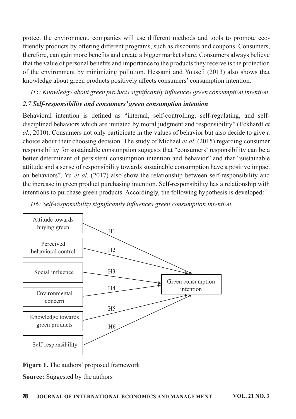protect the environment, companies will use different methods and tools to promote ecofriendly products by offering different programs, such as discounts and coupons. Consumers, therefore, can gain more benefits and create a bigger market share. Consumers always believe that the value of personal benefits and importance to the products they receive is the protection of the environment by minimizing pollution. Hessami and Youse  $(2013)$  also shows that knowledge about green products positively affects consumers' consumption intention.

H5: Knowledge about green products significantly influences green consumption intention.

# 2.7 Self-responsibility and consumers' green consumption intention

Behavioral intention is defined as "internal, self-controlling, self-regulating, and selfdisciplined behaviors which are initiated by moral judgment and responsibility" (Eckhardt et al., 2010). Consumers not only participate in the values of behavior but also decide to give a choice about their choosing decision. The study of Michael *et al.* (2015) regarding consumer responsibility for sustainable consumption suggests that "consumers' responsibility can be a better determinant of persistent consumption intention and behavior" and that "sustainable attitude and a sense of responsibility towards sustainable consumption have a positive impact on behaviors". Yu *et al.* (2017) also show the relationship between self-responsibility and the increase in green product purchasing intention. Self-responsibility has a relationship with intentions to purchase green products. Accordingly, the following hypothesis is developed:



H6: Self-responsibility significantly influences green consumption intention.

### Figure 1. The authors' proposed framework

Source: Suggested by the authors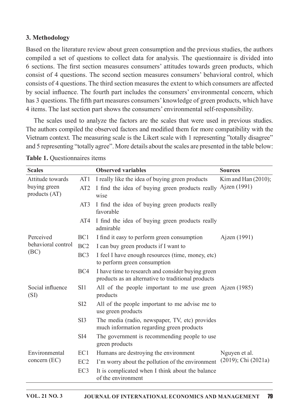### 3. Methodology

Based on the literature review about green consumption and the previous studies, the authors compiled a set of questions to collect data for analysis. The questionnaire is divided into 6 sections. The first section measures consumers' attitudes towards green products, which consist of 4 questions. The second section measures consumers' behavioral control, which consists of 4 questions. The third section measures the extent to which consumers are affected by social influence. The fourth part includes the consumers' environmental concern, which has 3 questions. The fifth part measures consumers' knowledge of green products, which have 4 items. The last section part shows the consumers' environmental self-responsibility.

The scales used to analyze the factors are the scales that were used in previous studies. The authors compiled the observed factors and modified them for more compatibility with the Vietnam context. The measuring scale is the Likert scale with 1 representing "totally disagree" and 5 representing "totally agree". More details about the scales are presented in the table below:

| <b>Scales</b>                   |                 | <b>Observed variables</b>                                                                               | <b>Sources</b>           |  |
|---------------------------------|-----------------|---------------------------------------------------------------------------------------------------------|--------------------------|--|
| Attitude towards                | AT <sub>1</sub> | I really like the idea of buying green products                                                         | Kim and Han $(2010)$ ;   |  |
| buying green<br>products (AT)   | AT <sub>2</sub> | I find the idea of buying green products really<br>wise                                                 | Ajzen (1991)             |  |
|                                 | AT3             | I find the idea of buying green products really<br>favorable                                            |                          |  |
|                                 | AT4             | I find the idea of buying green products really<br>admirable                                            |                          |  |
| Perceived                       | BC1             | I find it easy to perform green consumption                                                             | Ajzen (1991)             |  |
| behavioral control              | BC <sub>2</sub> | I can buy green products if I want to                                                                   |                          |  |
| (BC)                            | BC <sub>3</sub> | I feel I have enough resources (time, money, etc)<br>to perform green consumption                       |                          |  |
|                                 | BC4             | I have time to research and consider buying green<br>products as an alternative to traditional products |                          |  |
| Social influence<br>(SI)        | SI1             | All of the people important to me use green Ajzen (1985)<br>products                                    |                          |  |
|                                 | SI <sub>2</sub> | All of the people important to me advise me to<br>use green products                                    |                          |  |
|                                 | SI3             | The media (radio, newspaper, TV, etc) provides<br>much information regarding green products             |                          |  |
|                                 | SI4             | The government is recommending people to use<br>green products                                          |                          |  |
| Environmental<br>concern $(EC)$ | EC1             | Humans are destroying the environment                                                                   | Nguyen et al.            |  |
|                                 | EC <sub>2</sub> | I'm worry about the pollution of the environment                                                        | $(2019)$ ; Chi $(2021a)$ |  |
|                                 | EC <sub>3</sub> | It is complicated when I think about the balance<br>of the environment                                  |                          |  |

Table 1. Questionnaires items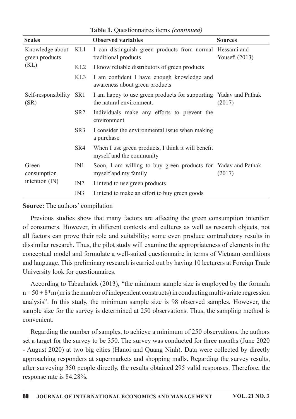| <b>Scales</b>                            |                 | <b>Observed variables</b>                                                                    | <b>Sources</b>   |  |
|------------------------------------------|-----------------|----------------------------------------------------------------------------------------------|------------------|--|
| Knowledge about<br>green products        | KL1             | I can distinguish green products from normal Hessami and<br>traditional products             | Yousefi $(2013)$ |  |
| (KL)                                     | KL2             | I know reliable distributors of green products                                               |                  |  |
|                                          | KL3             | I am confident I have enough knowledge and<br>awareness about green products                 |                  |  |
| Self-responsibility<br>(SR)              | SR <sub>1</sub> | I am happy to use green products for supporting Yadav and Pathak<br>the natural environment. | (2017)           |  |
|                                          | SR <sub>2</sub> | Individuals make any efforts to prevent the<br>environment                                   |                  |  |
|                                          | SR <sub>3</sub> | I consider the environmental issue when making<br>a purchase                                 |                  |  |
|                                          | SR4             | When I use green products, I think it will benefit<br>myself and the community               |                  |  |
| Green<br>consumption<br>intention $(IN)$ | IN1             | Soon, I am willing to buy green products for Yadav and Pathak<br>myself and my family        | (2017)           |  |
|                                          | IN2             | I intend to use green products                                                               |                  |  |
|                                          | IN3             | I intend to make an effort to buy green goods                                                |                  |  |

Table 1. Ouestionnaires items (continued)

### **Source:** The authors' compilation

Previous studies show that many factors are affecting the green consumption intention of consumers. However, in different contexts and cultures as well as research objects, not all factors can prove their role and suitability; some even produce contradictory results in dissimilar research. Thus, the pilot study will examine the appropriateness of elements in the conceptual model and formulate a well-suited questionnaire in terms of Vietnam conditions and language. This preliminary research is carried out by having 10 lecturers at Foreign Trade University look for questionnaires.

According to Tabachnick (2013), "the minimum sample size is employed by the formula  $n = 50 + 8*$ m (m is the number of independent constructs) in conducting multivariate regression analysis". In this study, the minimum sample size is 98 observed samples. However, the sample size for the survey is determined at 250 observations. Thus, the sampling method is convenient.

Regarding the number of samples, to achieve a minimum of 250 observations, the authors set a target for the survey to be 350. The survey was conducted for three months (June 2020) - August 2020) at two big cities (Hanoi and Quang Ninh). Data were collected by directly approaching responders at supermarkets and shopping malls. Regarding the survey results, after surveying 350 people directly, the results obtained 295 valid responses. Therefore, the response rate is 84.28%.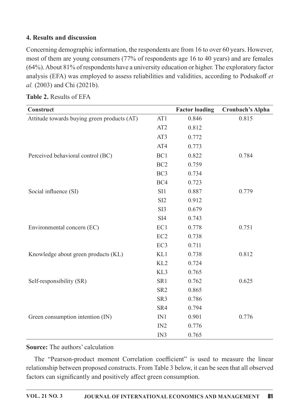### 4. Results and discussion

Concerning demographic information, the respondents are from 16 to over 60 years. However, most of them are young consumers (77% of respondents age 16 to 40 years) and are females  $(64\%)$ . About 81% of respondents have a university education or higher. The exploratory factor analysis (EFA) was employed to assess reliabilities and validities, according to Podsakoff et al. (2003) and Chi (2021b).

| Construct                                   |                 | <b>Factor loading</b> | <b>Cronbach's Alpha</b> |
|---------------------------------------------|-----------------|-----------------------|-------------------------|
| Attitude towards buying green products (AT) | AT1             | 0.846                 | 0.815                   |
|                                             | AT <sub>2</sub> | 0.812                 |                         |
|                                             | AT3             | 0.772                 |                         |
|                                             | AT4             | 0.773                 |                         |
| Perceived behavioral control (BC)           | BC1             | 0.822                 | 0.784                   |
|                                             | BC <sub>2</sub> | 0.759                 |                         |
|                                             | BC <sub>3</sub> | 0.734                 |                         |
|                                             | BC4             | 0.723                 |                         |
| Social influence (SI)                       | SI1             | 0.887                 | 0.779                   |
|                                             | SI <sub>2</sub> | 0.912                 |                         |
|                                             | SI3             | 0.679                 |                         |
|                                             | SI4             | 0.743                 |                         |
| Environmental concern (EC)                  | EC1             | 0.778                 | 0.751                   |
|                                             | EC <sub>2</sub> | 0.738                 |                         |
|                                             | EC <sub>3</sub> | 0.711                 |                         |
| Knowledge about green products (KL)         | KL1             | 0.738                 | 0.812                   |
|                                             | KL <sub>2</sub> | 0.724                 |                         |
|                                             | KL3             | 0.765                 |                         |
| Self-responsibility (SR)                    | SR1             | 0.762                 | 0.625                   |
|                                             | SR <sub>2</sub> | 0.865                 |                         |
|                                             | SR <sub>3</sub> | 0.786                 |                         |
|                                             | SR4             | 0.794                 |                         |
| Green consumption intention (IN)            | IN1             | 0.901                 | 0.776                   |
|                                             | IN2             | 0.776                 |                         |
|                                             | IN3             | 0.765                 |                         |

### Table 2. Results of EFA

### **Source:** The authors' calculation

The "Pearson-product moment Correlation coefficient" is used to measure the linear relationship between proposed constructs. From Table 3 below, it can be seen that all observed factors can significantly and positively affect green consumption.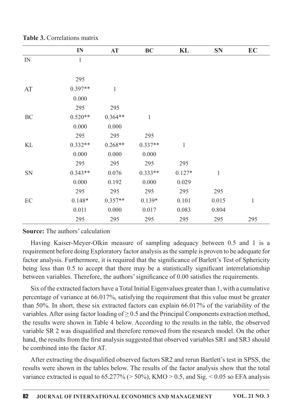|          | IN           | AT           | <b>BC</b>    | KL            | <b>SN</b>    | EC           |
|----------|--------------|--------------|--------------|---------------|--------------|--------------|
| IN       | $\mathbf{1}$ |              |              |               |              |              |
|          |              |              |              |               |              |              |
|          | 295          |              |              |               |              |              |
| AT       | $0.397**$    | $\mathbf{1}$ |              |               |              |              |
|          | 0.000        |              |              |               |              |              |
|          | 295          | 295          |              |               |              |              |
| BC       | $0.520**$    | $0.364**$    | $\mathbf{1}$ |               |              |              |
|          | 0.000        | 0.000        |              |               |              |              |
|          | 295          | 295          | 295          |               |              |              |
| KL       | $0.332**$    | $0.268**$    | $0.337**$    | $\mathbbm{1}$ |              |              |
|          | 0.000        | 0.000        | 0.000        |               |              |              |
|          | 295          | 295          | 295          | 295           |              |              |
| SN       | $0.343**$    | 0.076        | $0.333**$    | $0.127*$      | $\mathbf{1}$ |              |
|          | 0.000        | 0.192        | 0.000        | 0.029         |              |              |
|          | 295          | 295          | 295          | 295           | 295          |              |
| $\rm EC$ | $0.148*$     | $0.357**$    | $0.139*$     | 0.101         | 0.015        | $\mathbf{1}$ |
|          | 0.011        | 0.000        | 0.017        | 0.083         | 0.804        |              |
|          | 295          | 295          | 295          | 295           | 295          | 295          |

|  |  | Table 3. Correlations matrix |  |
|--|--|------------------------------|--|
|--|--|------------------------------|--|

### **Source:** The authors' calculation

Having Kaiser-Meyer-Olkin measure of sampling adequacy between 0.5 and 1 is a requirement before doing Exploratory factor analysis as the sample is proven to be adequate for factor analysis. Furthermore, it is required that the significance of Barlett's Test of Sphericity being less than 0.5 to accept that there may be a statistically significant interrelationship between variables. Therefore, the authors' significance of 0.00 satisfies the requirements.

Six of the extracted factors have a Total Initial Eigenvalues greater than 1, with a cumulative percentage of variance at 66.017%, satisfying the requirement that this value must be greater than 50%. In short, these six extracted factors can explain 66.017% of the variability of the variables. After using factor loading of  $\geq 0.5$  and the Principal Components extraction method, the results were shown in Table 4 below. According to the results in the table, the observed variable SR 2 was disqualified and therefore removed from the research model. On the other hand, the results from the first analysis suggested that observed variables SR1 and SR3 should be combined into the factor AT

After extracting the disqualified observed factors SR2 and rerun Bartlett's test in SPSS, the results were shown in the tables below. The results of the factor analysis show that the total variance extracted is equal to  $65.277\%$  ( $> 50\%$ ), KMO  $> 0.5$ , and Sig.  $< 0.05$  so EFA analysis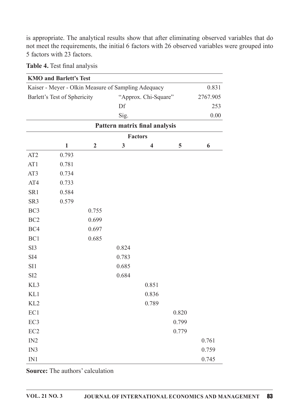is appropriate. The analytical results show that after eliminating observed variables that do not meet the requirements, the initial 6 factors with 26 observed variables were grouped into 5 factors with 23 factors.

### Table 4. Test final analysis

|                              | <b>KMO and Barlett's Test</b>                       |                |       |                               |       |          |
|------------------------------|-----------------------------------------------------|----------------|-------|-------------------------------|-------|----------|
|                              | Kaiser - Meyer - Olkin Measure of Sampling Adequacy |                |       |                               |       | 0.831    |
| Barlett's Test of Sphericity |                                                     |                |       | "Approx. Chi-Square"          |       | 2767.905 |
|                              |                                                     |                | Df    |                               |       | 253      |
|                              |                                                     |                | Sig.  |                               |       | 0.00     |
|                              |                                                     |                |       | Pattern matrix final analysis |       |          |
|                              |                                                     |                |       | <b>Factors</b>                |       |          |
|                              | $\mathbf{1}$                                        | $\overline{2}$ | 3     | $\overline{\mathbf{4}}$       | 5     | 6        |
| AT <sub>2</sub>              | 0.793                                               |                |       |                               |       |          |
| AT1                          | 0.781                                               |                |       |                               |       |          |
| AT3                          | 0.734                                               |                |       |                               |       |          |
| AT4                          | 0.733                                               |                |       |                               |       |          |
| SR1                          | 0.584                                               |                |       |                               |       |          |
| SR <sub>3</sub>              | 0.579                                               |                |       |                               |       |          |
| BC <sub>3</sub>              |                                                     | 0.755          |       |                               |       |          |
| BC <sub>2</sub>              |                                                     | 0.699          |       |                               |       |          |
| BC4                          |                                                     | 0.697          |       |                               |       |          |
| BC1                          |                                                     | 0.685          |       |                               |       |          |
| SI3                          |                                                     |                | 0.824 |                               |       |          |
| SI <sub>4</sub>              |                                                     |                | 0.783 |                               |       |          |
| SI1                          |                                                     |                | 0.685 |                               |       |          |
| SI <sub>2</sub>              |                                                     |                | 0.684 |                               |       |          |
| KL3                          |                                                     |                |       | 0.851                         |       |          |
| KL1                          |                                                     |                |       | 0.836                         |       |          |
| KL <sub>2</sub>              |                                                     |                |       | 0.789                         |       |          |
| EC1                          |                                                     |                |       |                               | 0.820 |          |
| EC3                          |                                                     |                |       |                               | 0.799 |          |
| EC <sub>2</sub>              |                                                     |                |       |                               | 0.779 |          |
| IN2                          |                                                     |                |       |                               |       | 0.761    |
| IN3                          |                                                     |                |       |                               |       | 0.759    |
| IN1                          |                                                     |                |       |                               |       | 0.745    |

**Source:** The authors' calculation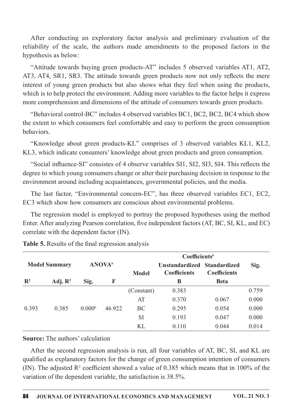After conducting an exploratory factor analysis and preliminary evaluation of the reliability of the scale, the authors made amendments to the proposed factors in the hypothesis as below:

"Attitude towards buying green products-AT" includes 5 observed variables AT1, AT2, AT3, AT4, SR1, SR3. The attitude towards green products now not only reflects the mere interest of young green products but also shows what they feel when using the products, which is to help protect the environment. Adding more variables to the factor helps it express more comprehension and dimensions of the attitude of consumers towards green products.

"Behavioral control-BC" includes 4 observed variables BC1, BC2, BC2, BC4 which show the extent to which consumers feel comfortable and easy to perform the green consumption hehaviors.

"Knowledge about green products-KL" comprises of 3 observed variables KL1, KL2, KL3, which indicate consumers' knowledge about green products and green consumption.

"Social influence-SI" consistes of 4 observe variables SI1, SI2, SI3, SI4. This reflects the degree to which young consumers change or alter their purchasing decision in response to the environment around including acquaintances, governmental policies, and the media.

The last factor, "Environmental concern-EC", has three observed variables EC1, EC2, EC3 which show how consumers are conscious about environmental problems.

The regression model is employed to portray the proposed hypotheses using the method Enter. After analyzing Pearson correlation, five independent factors (AT, BC, SI, KL, and EC) correlate with the dependent factor  $(IN)$ .

|                |                      |                    |                           | <b>Coefficients</b> <sup>a</sup> |                                                    |                     |       |  |
|----------------|----------------------|--------------------|---------------------------|----------------------------------|----------------------------------------------------|---------------------|-------|--|
|                | <b>Model Summary</b> |                    | <b>ANOVA</b> <sup>a</sup> | <b>Model</b>                     | Unstandardized Standardized<br><b>Coefficients</b> | <b>Coefficients</b> | Sig.  |  |
| $\mathbf{R}^2$ | Adj. $\mathbb{R}^2$  | Sig.               | F                         |                                  | B                                                  | <b>Beta</b>         |       |  |
|                |                      |                    |                           | (Constant)                       | 0.383                                              |                     | 0.759 |  |
|                |                      |                    |                           | AT                               | 0.370                                              | 0.067               | 0.000 |  |
| 0.393          | 0.385                | 0.000 <sup>b</sup> | 46.922                    | BC                               | 0.295                                              | 0.054               | 0.000 |  |
|                |                      |                    |                           | <b>SI</b>                        | 0.193                                              | 0.047               | 0.000 |  |
|                |                      |                    |                           | KL                               | 0.110                                              | 0.044               | 0.014 |  |

Table 5. Results of the final regression analysis

#### **Source:** The authors' calculation

After the second regression analysis is run, all four variables of AT, BC, SI, and KL are qualified as explanatory factors for the change of green consumption intention of consumers (IN). The adjusted  $\mathbb{R}^2$  coefficient showed a value of 0.385 which means that in 100% of the variation of the dependent variable, the satisfaction is 38.5%.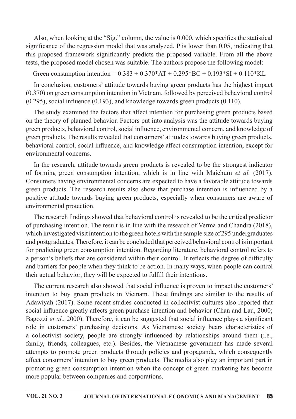Also, when looking at the "Sig." column, the value is 0.000, which specifies the statistical significance of the regression model that was analyzed. P is lower than 0.05, indicating that this proposed framework significantly predicts the proposed variable. From all the above tests, the proposed model chosen was suitable. The authors propose the following model:

Green consumption intention =  $0.383 + 0.370*AT + 0.295*BC + 0.193*SI + 0.110*KL$ 

In conclusion, customers' attitude towards buying green products has the highest impact  $(0.370)$  on green consumption intention in Vietnam, followed by perceived behavioral control  $(0.295)$ , social influence  $(0.193)$ , and knowledge towards green products  $(0.110)$ .

The study examined the factors that affect intention for purchasing green products based on the theory of planned behavior. Factors put into analysis was the attitude towards buying green products, behavioral control, social influence, environmental concern, and knowledge of green products. The results revealed that consumers' attitudes towards buying green products, behavioral control, social influence, and knowledge affect consumption intention, except for environmental concerns.

In the research, attitude towards green products is revealed to be the strongest indicator of forming green consumption intention, which is in line with Maichum *et al.*  $(2017)$ . Consumers having environmental concerns are expected to have a favorable attitude towards green products. The research results also show that purchase intention is influenced by a positive attitude towards buying green products, especially when consumers are aware of environmental protection.

The research findings showed that behavioral control is revealed to be the critical predictor of purchasing intention. The result is in line with the research of Verma and Chandra (2018), which investigated visit intention to the green hotels with the sample size of 295 undergraduates and postgraduates. Therefore, it can be concluded that perceived behavioral control is important for predicting green consumption intention. Regarding literature, behavioral control refers to a person's beliefs that are considered within their control. It reflects the degree of difficulty and barriers for people when they think to be action. In many ways, when people can control their actual behavior, they will be expected to fulfill their intentions.

The current research also showed that social influence is proven to impact the customers' intention to buy green products in Vietnam. These findings are similar to the results of Adawiyah (2017). Some recent studies conducted in collectivist cultures also reported that social influence greatly affects green purchase intention and behavior (Chan and Lau, 2000; Bagozzi et al., 2000). Therefore, it can be suggested that social influence plays a significant role in customers' purchasing decisions. As Vietnamese society bears characteristics of a collectivist society, people are strongly influenced by relationships around them (i.e., family, friends, colleagues, etc.). Besides, the Vietnamese government has made several attempts to promote green products through policies and propaganda, which consequently affect consumers' intention to buy green products. The media also play an important part in promoting green consumption intention when the concept of green marketing has become more popular between companies and corporations.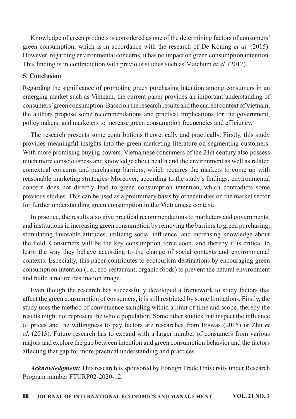Knowledge of green products is considered as one of the determining factors of consumers' green consumption, which is in accordance with the research of De Koning et al. (2015). However, regarding environmental concerns, it has no impact on green consumption intention. This finding is in contradiction with previous studies such as Maichum et al. (2017).

### **5. Conclusion**

Regarding the significance of promoting green purchasing intention among consumers in an emerging market such as Vietnam, the current paper provides an important understanding of consumers' green consumption. Based on the research results and the current context of Vietnam, the authors propose some recommendations and practical implications for the government, policymakers, and marketers to increase green consumption frequencies and efficiency.

The research presents some contributions theoretically and practically. Firstly, this study provides meaningful insights into the green marketing literature on segmenting customers. With more promising buying powers, Vietnamese consumers of the 21st century also possess much more consciousness and knowledge about health and the environment as well as related contextual concerns and purchasing barriers, which requires the markets to come up with reasonable marketing strategies. Moreover, according to the study's findings, environmental concern does not directly lead to green consumption intention, which contradicts some previous studies. This can be used as a preliminary basis by other studies on the market sector for further understanding green consumption in the Vietnamese context.

In practice, the results also give practical recommendations to marketers and governments, and institutions in increasing green consumption by removing the barriers to green purchasing, stimulating favorable attitudes, utilizing social influence, and increasing knowledge about the field. Consumers will be the key consumption force soon, and thereby it is critical to learn the way they behave according to the change of social contexts and environmental contexts. Especially, this paper contributes to ecotourism destinations by encouraging green consumption intention (i.e., eco-restaurant, organic foods) to prevent the natural environment and build a nature destination image.

Even though the research has successfully developed a framework to study factors that affect the green consumption of consumers, it is still restricted by some limitations. Firstly, the study uses the method of convenience sampling within a limit of time and scope, thereby the results might not represent the whole population. Some other studies that inspect the influence of prices and the willingness to pay factors are researches from Biswas (2015) or Zhu et al. (2013). Future research has to expand with a larger number of consumers from various majors and explore the gap between intention and green consumption behavior and the factors affecting that gap for more practical understanding and practices.

**Acknowledgment:** This research is sponsored by Foreign Trade University under Research Program number FTURP02-2020-12.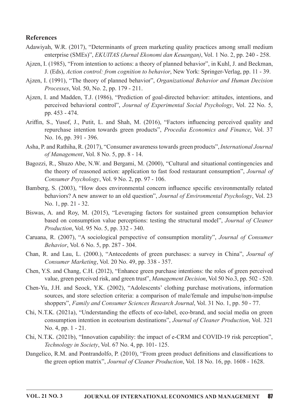#### References

- Adawiyah, W.R. (2017), "Determinants of green marketing quality practices among small medium enterprise (SMEs)", *EKUITAS (Jurnal Ekonomi dan Keuangan)*, Vol. 1 No. 2, pp. 240 - 258.
- Ajzen, I. (1985), "From intention to actions: a theory of planned behavior", in Kuhl, J. and Beckman, J. (Eds), Action control: from cognition to behavior, New York: Springer-Verlag, pp. 11 - 39.
- Aizen, I. (1991), "The theory of planned behavior", Organizational Behavior and Human Decision Processes, Vol. 50, No. 2, pp. 179 - 211.
- Ajzen, I. and Madden, T.J. (1986), "Prediction of goal-directed behavior: attitudes, intentions, and perceived behavioral control", Journal of Experimental Social Psychology, Vol. 22 No. 5, pp. 453 - 474.
- Ariffin, S., Yusof, J., Putit, L. and Shah, M. (2016), "Factors influencing perceived quality and repurchase intention towards green products", Procedia Economics and Finance, Vol. 37 No.16,pp.391-396.
- Asha, P. and Rathiha, R. (2017), "Consumer awareness towards green products", International Journal of Management, Vol. 8 No. 5, pp.  $8 - 14$ .
- Bagozzi, R., Shuzo Abe, N.W. and Bergami, M. (2000), "Cultural and situational contingencies and the theory of reasoned action: application to fast food restaurant consumption", *Journal of* Consumer Psychology, Vol. 9 No. 2, pp. 97 - 106.
- Bamberg, S. (2003), "How does environmental concern influence specific environmentally related behaviors? A new answer to an old question", Journal of Environmental Psychology, Vol. 23 No. 1, pp. 21 - 32.
- Biswas, A. and Roy, M. (2015), "Leveraging factors for sustained green consumption behavior based on consumption value perceptions: testing the structural model", *Journal of Cleaner* Production, Vol. 95 No. 5, pp. 332 - 340.
- Caruana, R. (2007), "A sociological perspective of consumption morality", *Journal of Consumer* Behavior, Vol. 6 No. 5, pp. 287 - 304.
- Chan, R. and Lau, L. (2000.), "Antecedents of green purchases: a survey in China", Journal of Consumer Marketing, Vol. 20 No. 49, pp. 338 - 357.
- Chen, Y.S. and Chang, C.H. (2012), "Enhance green purchase intentions: the roles of green perceived value, green perceived risk, and green trust", *Management Decision*, Vol 50 No.3, pp. 502 - 520.
- Chen‐Yu, J.H. and Seock,Y.K. (2002), "Adolescents' clothing purchase motivations, information sources, and store selection criteria: a comparison of male/female and impulse/non-impulse shoppers", Family and Consumer Sciences Research Journal, Vol. 31 No. 1, pp. 50 - 77.
- Chi, N.T.K. (2021a), "Understanding the effects of eco-label, eco-brand, and social media on green consumption intention in ecotourism destinations", Journal of Cleaner Production, Vol. 321 No. 4, pp.  $1 - 21$ .
- Chi, N.T.K. (2021b), "Innovation capability: the impact of e-CRM and COVID-19 risk perception", Technology in Society, Vol. 67 No. 4, pp. 101-125.
- Dangelico, R.M. and Pontrandolfo, P. (2010), "From green product definitions and classifications to the green option matrix", Journal of Cleaner Production, Vol. 18 No. 16, pp. 1608 - 1628.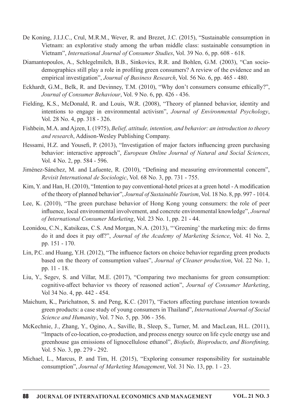- De Koning, J.I.J.C., Crul, M.R.M., Wever, R. and Brezet, J.C. (2015), "Sustainable consumption in Vietnam: an explorative study among the urban middle class: sustainable consumption in Vietnam", International Journal of Consumer Studies, Vol. 39 No. 6, pp. 608 - 618.
- Diamantopoulos, A., Schlegelmilch, B.B., Sinkovics, R.R. and Bohlen, G.M. (2003), "Can sociodemographics still play a role in profiling green consumers? A review of the evidence and an empirical investigation", Journal of Business Research, Vol. 56 No. 6, pp. 465 - 480.
- Eckhardt, G.M., Belk, R. and Devinney, T.M. (2010), "Why don't consumers consume ethically?", Journal of Consumer Behaviour, Vol. 9 No. 6, pp. 426 - 436.
- Fielding, K.S., McDonald, R. and Louis, W.R. (2008), "Theory of planned behavior, identity and intentions to engage in environmental activism", Journal of Environmental Psychology, Vol.28No.4,pp.318-326.
- Fishbein, M.A. and Ajzen, I. (1975), Belief, attitude, intention, and behavior: an introduction to theory and research, Addison-Wesley Publishing Company.
- Hessami, H.Z. and Yousefi, P. (2013), "Investigation of major factors influencing green purchasing behavior: interactive approach", European Online Journal of Natural and Social Sciences, Vol.4No.2,pp.584-596.
- Jiménez-Sánchez, M. and Lafuente, R. (2010), "Defining and measuring environmental concern", Revisit International de Sociologic, Vol. 68 No. 3, pp. 731 - 755.
- Kim, Y. and Han, H. (2010), "Intention to pay conventional-hotel prices at a green hotel-Amodification of the theory of planned behavior", Journal of Sustainable Tourism, Vol. 18 No. 8, pp. 997 - 1014.
- Lee, K. (2010), "The green purchase behavior of Hong Kong young consumers: the role of peer influence, local environmental involvement, and concrete environmental knowledge", Journal of International Consumer Marketing, Vol. 23 No. 1, pp. 21 - 44.
- Leonidou, C.N., Katsikeas, C.S. And Morgan, N.A. (2013), "'Greening' the marketing mix: do firms do it and does it pay off?", Journal of the Academy of Marketing Science, Vol. 41 No. 2, pp. 151 - 170.
- Lin, P.C. and Huang, Y.H. (2012), "The influence factors on choice behavior regarding green products based on the theory of consumption values", Journal of Cleaner production, Vol. 22 No. 1, pp.  $11 - 18$ .
- Liu,Y., Segev, S. and Villar, M.E. (2017), "Comparing two mechanisms for green consumption: cognitive-affect behavior vs theory of reasoned action", Journal of Consumer Marketing, Vol34No.4,pp.442-454.
- Maichum, K., Parichatnon, S. and Peng, K.C. (2017), "Factors affecting purchase intention towards green products: a case study of young consumers in Thailand", International Journal of Social Science and Humanity, Vol. 7 No. 5, pp. 306 - 356.
- McKechnie, J., Zhang, Y., Ogino, A., Saville, B., Sleep, S., Turner, M. and MacLean, H.L. (2011), "Impacts of co-location, co-production, and process energy source on life cycle energy use and greenhouse gas emissions of lignocellulose ethanol", *Biofuels, Bioproducts, and Biorefining,* Vol.5No.3,pp.279-292.
- Michael, L., Marcus, P. and Tim, H. (2015), "Exploring consumer responsibility for sustainable consumption", Journal of Marketing Management, Vol. 31 No. 13, pp. 1 - 23.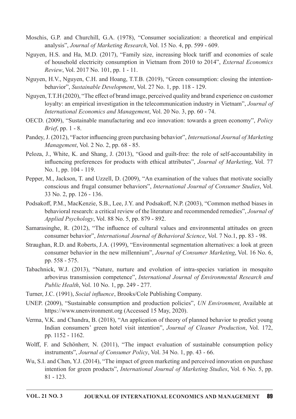- Moschis, G.P. and Churchill, G.A. (1978), "Consumer socialization: a theoretical and empirical analysis", Journal of Marketing Research, Vol. 15 No. 4, pp. 599 - 609.
- Nguyen, H.S. and Ha, M.D. (2017), "Family size, increasing block tariff and economies of scale of household electricity consumption in Vietnam from 2010 to 2014", *External Economics* Review, Vol. 2017 No. 101, pp. 1 - 11.
- Nguyen, H.V., Nguyen, C.H. and Hoang, T.T.B. (2019), "Green consumption: closing the intentionbehavior", Sustainable Development, Vol. 27 No. 1, pp. 118 - 129.
- Nguyen, T.T.H(2020), "The effect of brand image, perceived quality and brand experience on customer loyalty: an empirical investigation in the telecommunication industry in Vietnam", Journal of International Economics and Management, Vol. 20 No. 3, pp. 60 - 74.
- OECD. (2009), "Sustainable manufacturing and eco innovation: towards a green economy", *Policy* Brief, pp.  $1 - 8$ .
- Pandey, J. (2012), "Factor influencing green purchasing behavior", International Journal of Marketing Management, Vol. 2 No. 2, pp. 68 - 85.
- Peloza, J., White, K. and Shang, J. (2013), "Good and guilt-free: the role of self-accountability in influencing preferences for products with ethical attributes", Journal of Marketing, Vol. 77 No. 1, pp. 104 - 119.
- Pepper, M., Jackson, T. and Uzzell, D. (2009), "An examination of the values that motivate socially conscious and frugal consumer behaviors", International Journal of Consumer Studies, Vol. 33No.2,pp.126-136.
- Podsakoff, P.M., MacKenzie, S.B., Lee, J.Y. and Podsakoff, N.P. (2003), "Common method biases in behavioral research: a critical review of the literature and recommended remedies", Journal of Applied Psychology, Vol. 88 No. 5, pp. 879 - 892.
- Samarasinghe, R. (2012), "The influence of cultural values and environmental attitudes on green consumer behavior", *International Journal of Behavioral Science*, Vol. 7 No.1, pp. 83 - 98.
- Straughan, R.D. and Roberts, J.A. (1999), "Environmental segmentation alternatives: a look at green consumer behavior in the new millennium", Journal of Consumer Marketing, Vol. 16 No. 6, pp. 558 - 575.
- Tabachnick, W.J. (2013), "Nature, nurture and evolution of intra-species variation in mosquito arbovirus transmission competence", International Journal of Environmental Research and  $Public Health$ , Vol. 10 No. 1, pp. 249 - 277.
- Turner, J.C. (1991), Social influence, Brooks/Cole Publishing Company.
- UNEP. (2009), "Sustainable consumption and production policies", UN Environment, Available at https://www.unenvironment.org (Accessed 15 May, 2020).
- Verma, V.K. and Chandra, B. (2018), "An application of theory of planned behavior to predict young Indian consumers' green hotel visit intention", Journal of Cleaner Production, Vol. 172, pp.1152-1162.
- Wolff, F. and Schönherr, N. (2011), "The impact evaluation of sustainable consumption policy instruments", Journal of Consumer Policy, Vol. 34 No. 1, pp. 43 - 66.
- Wu, S.I. and Chen, Y.J. (2014), "The impact of green marketing and perceived innovation on purchase intention for green products", International Journal of Marketing Studies, Vol. 6 No. 5, pp.  $81 - 123$ .